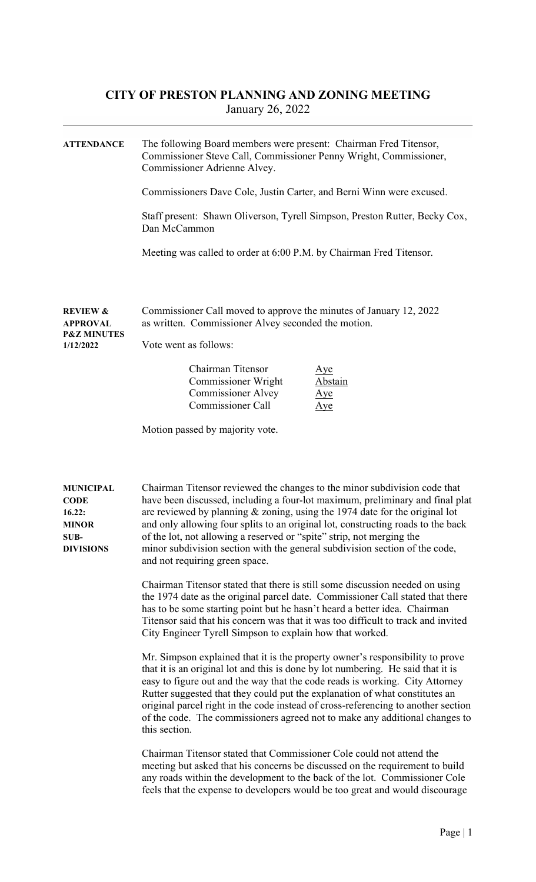## CITY OF PRESTON PLANNING AND ZONING MEETING January 26, 2022

| <b>ATTENDANCE</b>                                                              | The following Board members were present: Chairman Fred Titensor,<br>Commissioner Steve Call, Commissioner Penny Wright, Commissioner,<br>Commissioner Adrienne Alvey.                                                                                                                                                                                                                                                                                                                                                     |  |  |  |
|--------------------------------------------------------------------------------|----------------------------------------------------------------------------------------------------------------------------------------------------------------------------------------------------------------------------------------------------------------------------------------------------------------------------------------------------------------------------------------------------------------------------------------------------------------------------------------------------------------------------|--|--|--|
|                                                                                | Commissioners Dave Cole, Justin Carter, and Berni Winn were excused.                                                                                                                                                                                                                                                                                                                                                                                                                                                       |  |  |  |
|                                                                                | Staff present: Shawn Oliverson, Tyrell Simpson, Preston Rutter, Becky Cox,<br>Dan McCammon                                                                                                                                                                                                                                                                                                                                                                                                                                 |  |  |  |
|                                                                                | Meeting was called to order at 6:00 P.M. by Chairman Fred Titensor.                                                                                                                                                                                                                                                                                                                                                                                                                                                        |  |  |  |
| <b>REVIEW &amp;</b><br><b>APPROVAL</b><br><b>P&amp;Z MINUTES</b><br>1/12/2022  | Commissioner Call moved to approve the minutes of January 12, 2022<br>as written. Commissioner Alvey seconded the motion.<br>Vote went as follows:                                                                                                                                                                                                                                                                                                                                                                         |  |  |  |
|                                                                                | Chairman Titensor<br>Aye<br>Commissioner Wright<br><b>Abstain</b><br><b>Commissioner Alvey</b><br>Aye<br><b>Commissioner Call</b><br>Aye                                                                                                                                                                                                                                                                                                                                                                                   |  |  |  |
|                                                                                | Motion passed by majority vote.                                                                                                                                                                                                                                                                                                                                                                                                                                                                                            |  |  |  |
| <b>MUNICIPAL</b><br>CODE<br>16.22:<br><b>MINOR</b><br>SUB-<br><b>DIVISIONS</b> | Chairman Titensor reviewed the changes to the minor subdivision code that<br>have been discussed, including a four-lot maximum, preliminary and final plat<br>are reviewed by planning $\&$ zoning, using the 1974 date for the original lot<br>and only allowing four splits to an original lot, constructing roads to the back<br>of the lot, not allowing a reserved or "spite" strip, not merging the<br>minor subdivision section with the general subdivision section of the code,<br>and not requiring green space. |  |  |  |
|                                                                                | Chairman Titensor stated that there is still some discussion needed on using<br>the 1974 date as the original parcel date. Commissioner Call stated that there<br>has to be some starting point but he hasn't heard a better idea. Chairman<br>Titensor said that his concern was that it was too difficult to track and invited<br>City Engineer Tyrell Simpson to explain how that worked.                                                                                                                               |  |  |  |
|                                                                                | Mr. Simpson explained that it is the property owner's responsibility to prove<br>that it is an original lot and this is done by lot numbering. He said that it is<br>easy to figure out and the way that the code reads is working. City Attorney<br>Rutter suggested that they could put the explanation of what constitutes an<br>original parcel right in the code instead of cross-referencing to another section<br>of the code. The commissioners agreed not to make any additional changes to<br>this section.      |  |  |  |
|                                                                                | Chairman Titensor stated that Commissioner Cole could not attend the<br>meeting but asked that his concerns be discussed on the requirement to build<br>any roads within the development to the back of the lot. Commissioner Cole<br>feels that the expense to developers would be too great and would discourage                                                                                                                                                                                                         |  |  |  |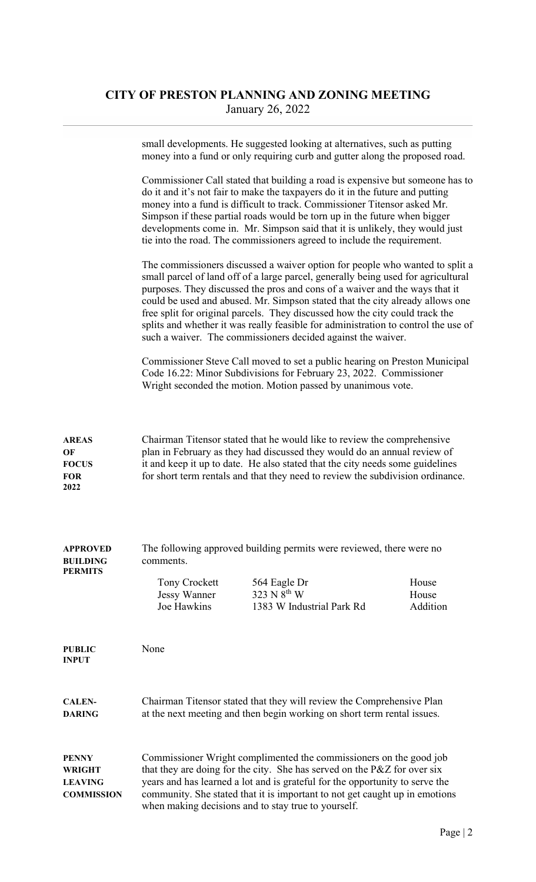## CITY OF PRESTON PLANNING AND ZONING MEETING January 26, 2022

|                                                               | small developments. He suggested looking at alternatives, such as putting<br>money into a fund or only requiring curb and gutter along the proposed road.                                                                                                                                                                                                                                                                                                                                                                                                               |                                                                                                                                                                                                                  |                            |  |
|---------------------------------------------------------------|-------------------------------------------------------------------------------------------------------------------------------------------------------------------------------------------------------------------------------------------------------------------------------------------------------------------------------------------------------------------------------------------------------------------------------------------------------------------------------------------------------------------------------------------------------------------------|------------------------------------------------------------------------------------------------------------------------------------------------------------------------------------------------------------------|----------------------------|--|
|                                                               | Commissioner Call stated that building a road is expensive but someone has to<br>do it and it's not fair to make the taxpayers do it in the future and putting<br>money into a fund is difficult to track. Commissioner Titensor asked Mr.<br>Simpson if these partial roads would be torn up in the future when bigger<br>developments come in. Mr. Simpson said that it is unlikely, they would just<br>tie into the road. The commissioners agreed to include the requirement.                                                                                       |                                                                                                                                                                                                                  |                            |  |
|                                                               | The commissioners discussed a waiver option for people who wanted to split a<br>small parcel of land off of a large parcel, generally being used for agricultural<br>purposes. They discussed the pros and cons of a waiver and the ways that it<br>could be used and abused. Mr. Simpson stated that the city already allows one<br>free split for original parcels. They discussed how the city could track the<br>splits and whether it was really feasible for administration to control the use of<br>such a waiver. The commissioners decided against the waiver. |                                                                                                                                                                                                                  |                            |  |
|                                                               |                                                                                                                                                                                                                                                                                                                                                                                                                                                                                                                                                                         | Commissioner Steve Call moved to set a public hearing on Preston Municipal<br>Code 16.22: Minor Subdivisions for February 23, 2022. Commissioner<br>Wright seconded the motion. Motion passed by unanimous vote. |                            |  |
| <b>AREAS</b><br>OF<br><b>FOCUS</b><br>FOR<br>2022             | Chairman Titensor stated that he would like to review the comprehensive<br>plan in February as they had discussed they would do an annual review of<br>it and keep it up to date. He also stated that the city needs some guidelines<br>for short term rentals and that they need to review the subdivision ordinance.                                                                                                                                                                                                                                                  |                                                                                                                                                                                                                  |                            |  |
| <b>APPROVED</b><br>BUILDING<br><b>PERMITS</b>                 | The following approved building permits were reviewed, there were no<br>comments.                                                                                                                                                                                                                                                                                                                                                                                                                                                                                       |                                                                                                                                                                                                                  |                            |  |
|                                                               | Tony Crockett<br>Jessy Wanner<br>Joe Hawkins                                                                                                                                                                                                                                                                                                                                                                                                                                                                                                                            | 564 Eagle Dr<br>323 N 8 <sup>th</sup> W<br>1383 W Industrial Park Rd                                                                                                                                             | House<br>House<br>Addition |  |
| <b>PUBLIC</b><br><b>INPUT</b>                                 | None                                                                                                                                                                                                                                                                                                                                                                                                                                                                                                                                                                    |                                                                                                                                                                                                                  |                            |  |
| <b>CALEN-</b><br><b>DARING</b>                                | Chairman Titensor stated that they will review the Comprehensive Plan<br>at the next meeting and then begin working on short term rental issues.                                                                                                                                                                                                                                                                                                                                                                                                                        |                                                                                                                                                                                                                  |                            |  |
| <b>PENNY</b><br>WRIGHT<br><b>LEAVING</b><br><b>COMMISSION</b> | Commissioner Wright complimented the commissioners on the good job<br>that they are doing for the city. She has served on the P&Z for over six<br>years and has learned a lot and is grateful for the opportunity to serve the<br>community. She stated that it is important to not get caught up in emotions<br>when making decisions and to stay true to yourself.                                                                                                                                                                                                    |                                                                                                                                                                                                                  |                            |  |